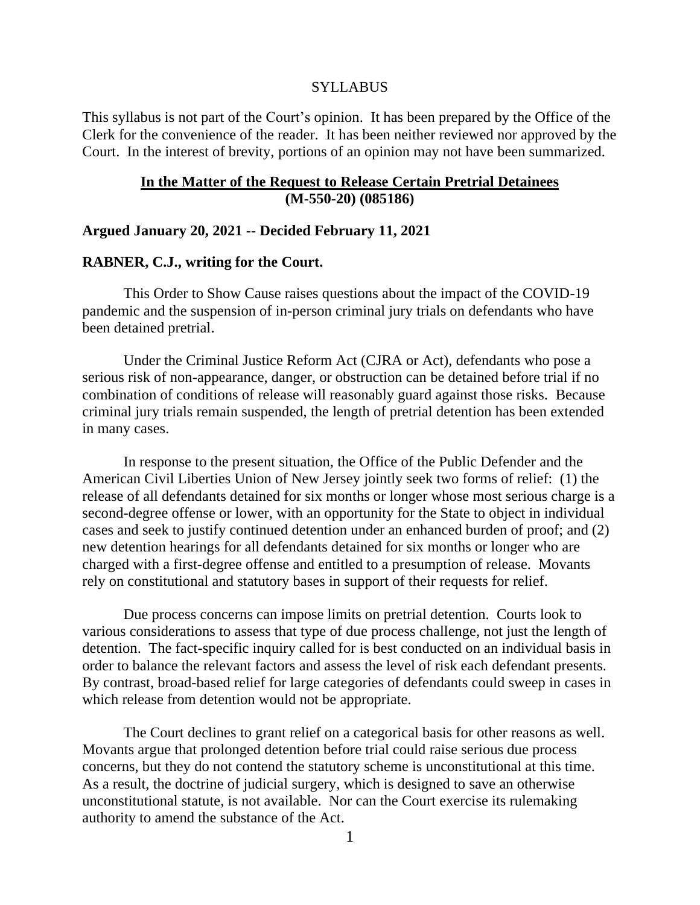#### SYLLABUS

This syllabus is not part of the Court's opinion. It has been prepared by the Office of the Clerk for the convenience of the reader. It has been neither reviewed nor approved by the Court. In the interest of brevity, portions of an opinion may not have been summarized.

## **In the Matter of the Request to Release Certain Pretrial Detainees (M-550-20) (085186)**

#### **Argued January 20, 2021 -- Decided February 11, 2021**

## **RABNER, C.J., writing for the Court.**

This Order to Show Cause raises questions about the impact of the COVID-19 pandemic and the suspension of in-person criminal jury trials on defendants who have been detained pretrial.

Under the Criminal Justice Reform Act (CJRA or Act), defendants who pose a serious risk of non-appearance, danger, or obstruction can be detained before trial if no combination of conditions of release will reasonably guard against those risks. Because criminal jury trials remain suspended, the length of pretrial detention has been extended in many cases.

In response to the present situation, the Office of the Public Defender and the American Civil Liberties Union of New Jersey jointly seek two forms of relief: (1) the release of all defendants detained for six months or longer whose most serious charge is a second-degree offense or lower, with an opportunity for the State to object in individual cases and seek to justify continued detention under an enhanced burden of proof; and (2) new detention hearings for all defendants detained for six months or longer who are charged with a first-degree offense and entitled to a presumption of release. Movants rely on constitutional and statutory bases in support of their requests for relief.

Due process concerns can impose limits on pretrial detention. Courts look to various considerations to assess that type of due process challenge, not just the length of detention. The fact-specific inquiry called for is best conducted on an individual basis in order to balance the relevant factors and assess the level of risk each defendant presents. By contrast, broad-based relief for large categories of defendants could sweep in cases in which release from detention would not be appropriate.

The Court declines to grant relief on a categorical basis for other reasons as well. Movants argue that prolonged detention before trial could raise serious due process concerns, but they do not contend the statutory scheme is unconstitutional at this time. As a result, the doctrine of judicial surgery, which is designed to save an otherwise unconstitutional statute, is not available. Nor can the Court exercise its rulemaking authority to amend the substance of the Act.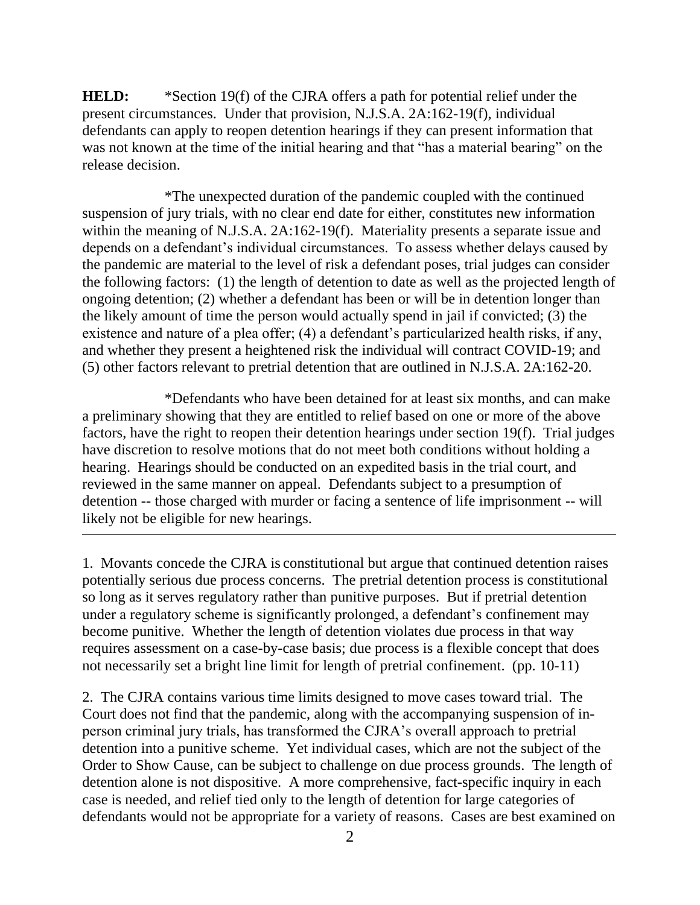**HELD:** \*Section 19(f) of the CJRA offers a path for potential relief under the present circumstances. Under that provision, N.J.S.A. 2A:162-19(f), individual defendants can apply to reopen detention hearings if they can present information that was not known at the time of the initial hearing and that "has a material bearing" on the release decision.

\*The unexpected duration of the pandemic coupled with the continued suspension of jury trials, with no clear end date for either, constitutes new information within the meaning of N.J.S.A. 2A:162-19(f). Materiality presents a separate issue and depends on a defendant's individual circumstances. To assess whether delays caused by the pandemic are material to the level of risk a defendant poses, trial judges can consider the following factors: (1) the length of detention to date as well as the projected length of ongoing detention; (2) whether a defendant has been or will be in detention longer than the likely amount of time the person would actually spend in jail if convicted; (3) the existence and nature of a plea offer; (4) a defendant's particularized health risks, if any, and whether they present a heightened risk the individual will contract COVID-19; and (5) other factors relevant to pretrial detention that are outlined in N.J.S.A. 2A:162-20.

\*Defendants who have been detained for at least six months, and can make a preliminary showing that they are entitled to relief based on one or more of the above factors, have the right to reopen their detention hearings under section 19(f). Trial judges have discretion to resolve motions that do not meet both conditions without holding a hearing. Hearings should be conducted on an expedited basis in the trial court, and reviewed in the same manner on appeal. Defendants subject to a presumption of detention -- those charged with murder or facing a sentence of life imprisonment -- will likely not be eligible for new hearings.

1. Movants concede the CJRA is constitutional but argue that continued detention raises potentially serious due process concerns. The pretrial detention process is constitutional so long as it serves regulatory rather than punitive purposes. But if pretrial detention under a regulatory scheme is significantly prolonged, a defendant's confinement may become punitive. Whether the length of detention violates due process in that way requires assessment on a case-by-case basis; due process is a flexible concept that does not necessarily set a bright line limit for length of pretrial confinement. (pp. 10-11)

2. The CJRA contains various time limits designed to move cases toward trial. The Court does not find that the pandemic, along with the accompanying suspension of inperson criminal jury trials, has transformed the CJRA's overall approach to pretrial detention into a punitive scheme. Yet individual cases, which are not the subject of the Order to Show Cause, can be subject to challenge on due process grounds. The length of detention alone is not dispositive. A more comprehensive, fact-specific inquiry in each case is needed, and relief tied only to the length of detention for large categories of defendants would not be appropriate for a variety of reasons. Cases are best examined on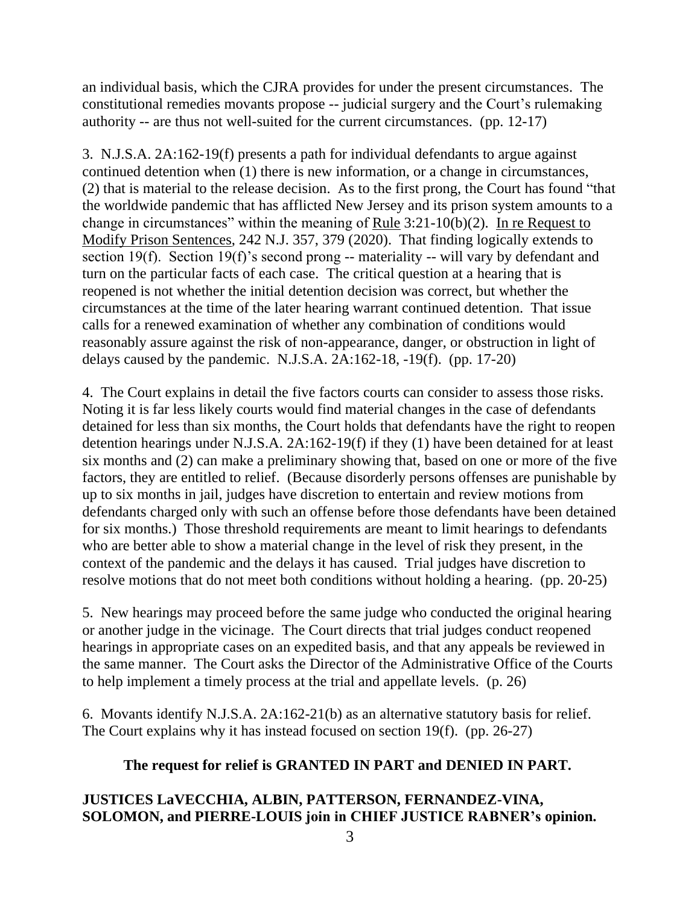an individual basis, which the CJRA provides for under the present circumstances. The constitutional remedies movants propose -- judicial surgery and the Court's rulemaking authority -- are thus not well-suited for the current circumstances. (pp. 12-17)

3. N.J.S.A. 2A:162-19(f) presents a path for individual defendants to argue against continued detention when (1) there is new information, or a change in circumstances, (2) that is material to the release decision. As to the first prong, the Court has found "that the worldwide pandemic that has afflicted New Jersey and its prison system amounts to a change in circumstances" within the meaning of Rule  $3:21-10(b)(2)$ . In re Request to Modify Prison Sentences, 242 N.J. 357, 379 (2020). That finding logically extends to section 19(f). Section 19(f)'s second prong -- materiality -- will vary by defendant and turn on the particular facts of each case. The critical question at a hearing that is reopened is not whether the initial detention decision was correct, but whether the circumstances at the time of the later hearing warrant continued detention. That issue calls for a renewed examination of whether any combination of conditions would reasonably assure against the risk of non-appearance, danger, or obstruction in light of delays caused by the pandemic. N.J.S.A.  $2A:162-18$ ,  $-19(f)$ . (pp. 17-20)

4. The Court explains in detail the five factors courts can consider to assess those risks. Noting it is far less likely courts would find material changes in the case of defendants detained for less than six months, the Court holds that defendants have the right to reopen detention hearings under N.J.S.A. 2A:162-19(f) if they (1) have been detained for at least six months and (2) can make a preliminary showing that, based on one or more of the five factors, they are entitled to relief. (Because disorderly persons offenses are punishable by up to six months in jail, judges have discretion to entertain and review motions from defendants charged only with such an offense before those defendants have been detained for six months.) Those threshold requirements are meant to limit hearings to defendants who are better able to show a material change in the level of risk they present, in the context of the pandemic and the delays it has caused. Trial judges have discretion to resolve motions that do not meet both conditions without holding a hearing. (pp. 20-25)

5. New hearings may proceed before the same judge who conducted the original hearing or another judge in the vicinage. The Court directs that trial judges conduct reopened hearings in appropriate cases on an expedited basis, and that any appeals be reviewed in the same manner. The Court asks the Director of the Administrative Office of the Courts to help implement a timely process at the trial and appellate levels. (p. 26)

6. Movants identify N.J.S.A. 2A:162-21(b) as an alternative statutory basis for relief. The Court explains why it has instead focused on section 19(f). (pp. 26-27)

# **The request for relief is GRANTED IN PART and DENIED IN PART.**

# **JUSTICES LaVECCHIA, ALBIN, PATTERSON, FERNANDEZ-VINA, SOLOMON, and PIERRE-LOUIS join in CHIEF JUSTICE RABNER's opinion.**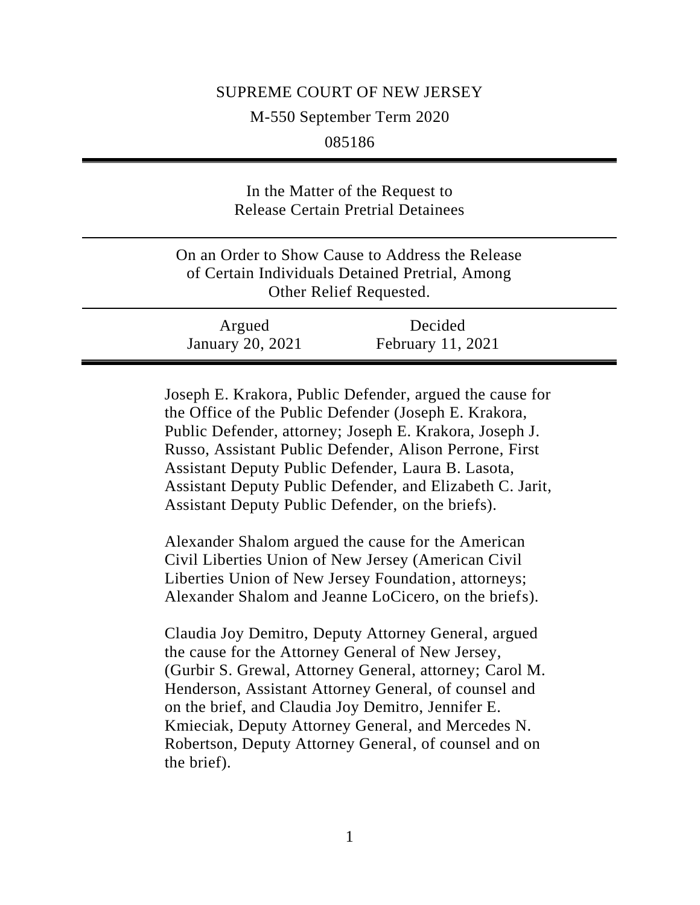## SUPREME COURT OF NEW JERSEY

M-550 September Term 2020

085186

| In the Matter of the Request to<br><b>Release Certain Pretrial Detainees</b>                                                   |                              |
|--------------------------------------------------------------------------------------------------------------------------------|------------------------------|
| On an Order to Show Cause to Address the Release<br>of Certain Individuals Detained Pretrial, Among<br>Other Relief Requested. |                              |
| Argued<br><b>January 20, 2021</b>                                                                                              | Decided<br>February 11, 2021 |

Joseph E. Krakora, Public Defender, argued the cause for the Office of the Public Defender (Joseph E. Krakora, Public Defender, attorney; Joseph E. Krakora, Joseph J. Russo, Assistant Public Defender, Alison Perrone, First Assistant Deputy Public Defender, Laura B. Lasota, Assistant Deputy Public Defender, and Elizabeth C. Jarit, Assistant Deputy Public Defender, on the briefs).

Alexander Shalom argued the cause for the American Civil Liberties Union of New Jersey (American Civil Liberties Union of New Jersey Foundation, attorneys; Alexander Shalom and Jeanne LoCicero, on the briefs).

Claudia Joy Demitro, Deputy Attorney General, argued the cause for the Attorney General of New Jersey, (Gurbir S. Grewal, Attorney General, attorney; Carol M. Henderson, Assistant Attorney General, of counsel and on the brief, and Claudia Joy Demitro, Jennifer E. Kmieciak, Deputy Attorney General, and Mercedes N. Robertson, Deputy Attorney General, of counsel and on the brief).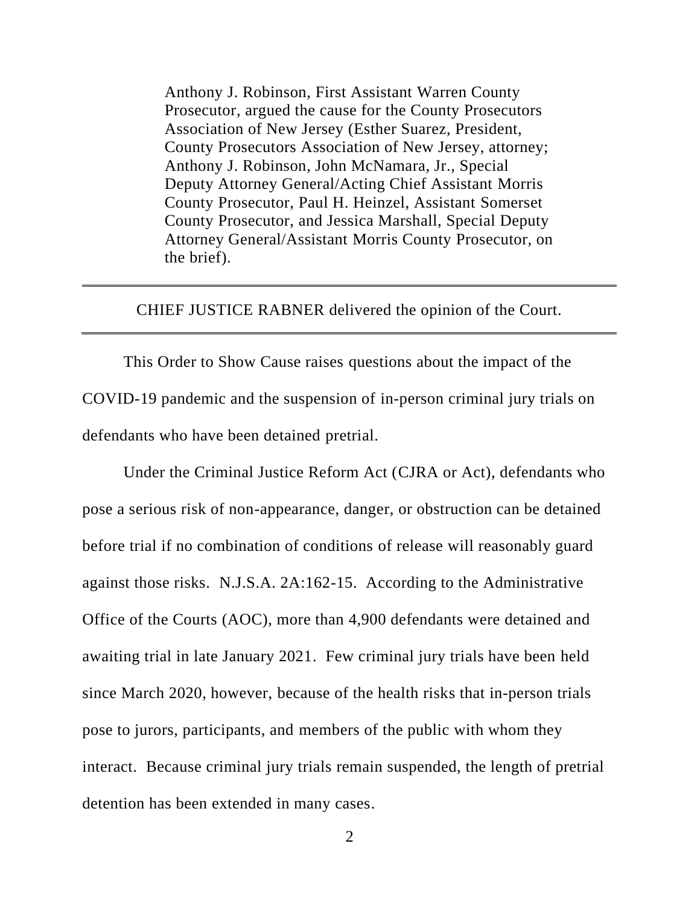Anthony J. Robinson, First Assistant Warren County Prosecutor, argued the cause for the County Prosecutors Association of New Jersey (Esther Suarez, President, County Prosecutors Association of New Jersey, attorney; Anthony J. Robinson, John McNamara, Jr., Special Deputy Attorney General/Acting Chief Assistant Morris County Prosecutor, Paul H. Heinzel, Assistant Somerset County Prosecutor, and Jessica Marshall, Special Deputy Attorney General/Assistant Morris County Prosecutor, on the brief).

## CHIEF JUSTICE RABNER delivered the opinion of the Court.

This Order to Show Cause raises questions about the impact of the COVID-19 pandemic and the suspension of in-person criminal jury trials on defendants who have been detained pretrial.

Under the Criminal Justice Reform Act (CJRA or Act), defendants who pose a serious risk of non-appearance, danger, or obstruction can be detained before trial if no combination of conditions of release will reasonably guard against those risks. N.J.S.A. 2A:162-15. According to the Administrative Office of the Courts (AOC), more than 4,900 defendants were detained and awaiting trial in late January 2021. Few criminal jury trials have been held since March 2020, however, because of the health risks that in-person trials pose to jurors, participants, and members of the public with whom they interact. Because criminal jury trials remain suspended, the length of pretrial detention has been extended in many cases.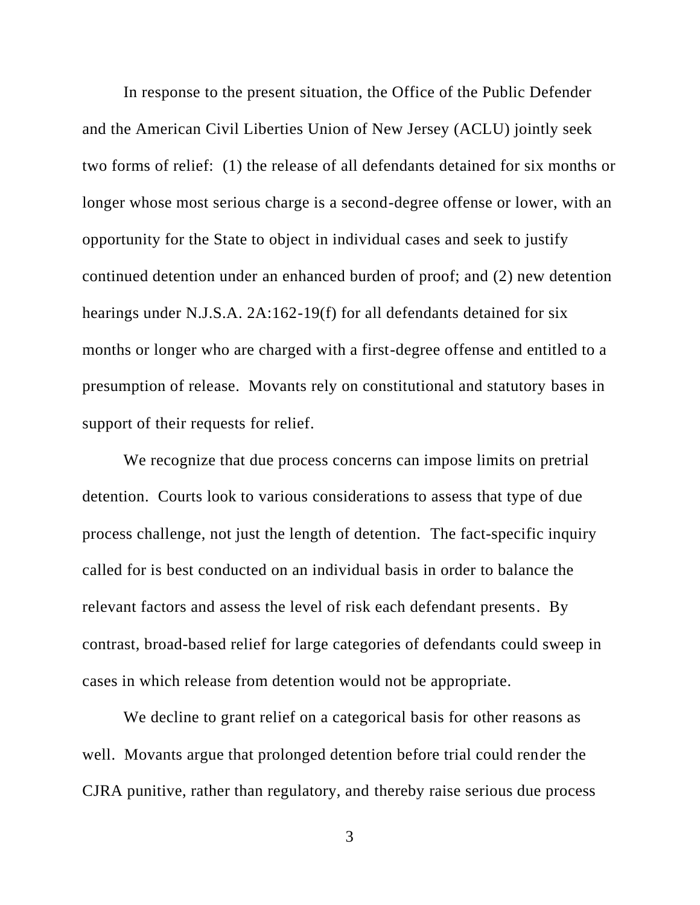In response to the present situation, the Office of the Public Defender and the American Civil Liberties Union of New Jersey (ACLU) jointly seek two forms of relief: (1) the release of all defendants detained for six months or longer whose most serious charge is a second-degree offense or lower, with an opportunity for the State to object in individual cases and seek to justify continued detention under an enhanced burden of proof; and (2) new detention hearings under N.J.S.A. 2A:162-19(f) for all defendants detained for six months or longer who are charged with a first-degree offense and entitled to a presumption of release. Movants rely on constitutional and statutory bases in support of their requests for relief.

We recognize that due process concerns can impose limits on pretrial detention. Courts look to various considerations to assess that type of due process challenge, not just the length of detention. The fact-specific inquiry called for is best conducted on an individual basis in order to balance the relevant factors and assess the level of risk each defendant presents. By contrast, broad-based relief for large categories of defendants could sweep in cases in which release from detention would not be appropriate.

We decline to grant relief on a categorical basis for other reasons as well. Movants argue that prolonged detention before trial could render the CJRA punitive, rather than regulatory, and thereby raise serious due process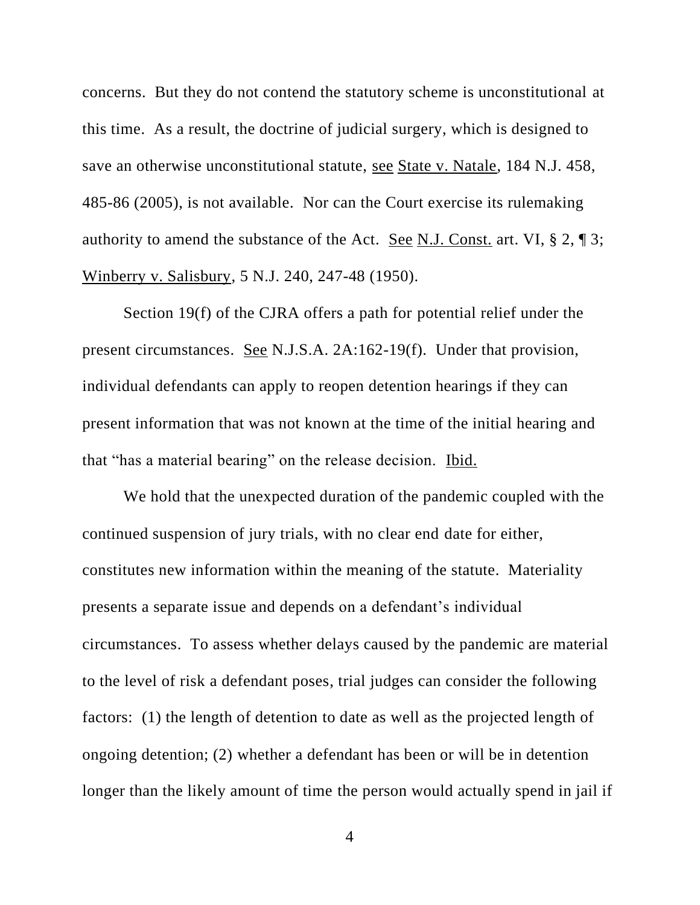concerns. But they do not contend the statutory scheme is unconstitutional at this time. As a result, the doctrine of judicial surgery, which is designed to save an otherwise unconstitutional statute, see State v. Natale, 184 N.J. 458, 485-86 (2005), is not available. Nor can the Court exercise its rulemaking authority to amend the substance of the Act. See N.J. Const. art. VI, § 2, ¶ 3; Winberry v. Salisbury, 5 N.J. 240, 247-48 (1950).

Section 19(f) of the CJRA offers a path for potential relief under the present circumstances. See N.J.S.A. 2A:162-19(f). Under that provision, individual defendants can apply to reopen detention hearings if they can present information that was not known at the time of the initial hearing and that "has a material bearing" on the release decision. Ibid.

We hold that the unexpected duration of the pandemic coupled with the continued suspension of jury trials, with no clear end date for either, constitutes new information within the meaning of the statute. Materiality presents a separate issue and depends on a defendant's individual circumstances. To assess whether delays caused by the pandemic are material to the level of risk a defendant poses, trial judges can consider the following factors: (1) the length of detention to date as well as the projected length of ongoing detention; (2) whether a defendant has been or will be in detention longer than the likely amount of time the person would actually spend in jail if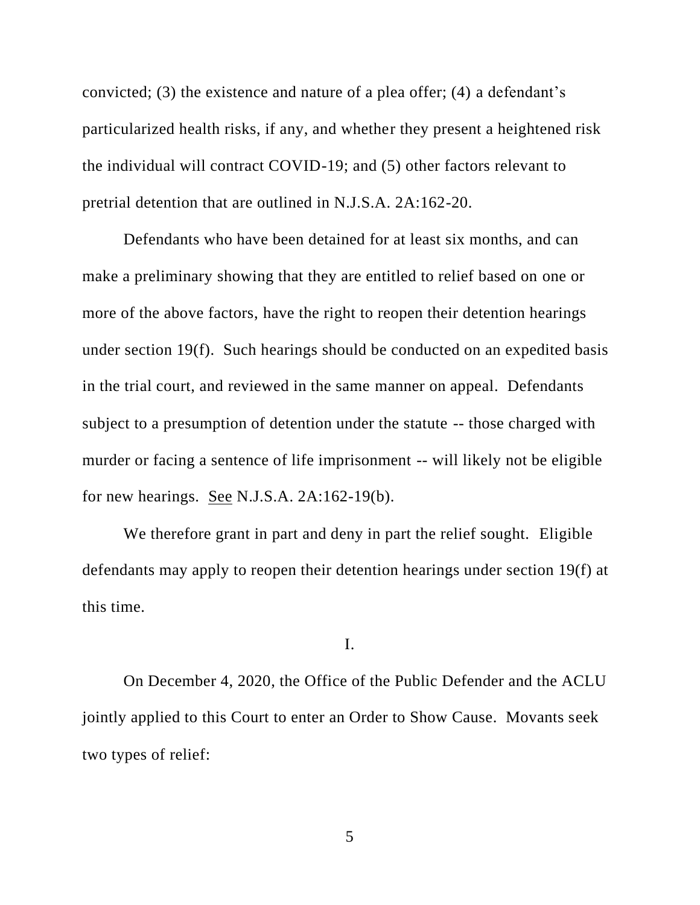convicted; (3) the existence and nature of a plea offer; (4) a defendant's particularized health risks, if any, and whether they present a heightened risk the individual will contract COVID-19; and (5) other factors relevant to pretrial detention that are outlined in N.J.S.A. 2A:162-20.

Defendants who have been detained for at least six months, and can make a preliminary showing that they are entitled to relief based on one or more of the above factors, have the right to reopen their detention hearings under section 19(f). Such hearings should be conducted on an expedited basis in the trial court, and reviewed in the same manner on appeal. Defendants subject to a presumption of detention under the statute -- those charged with murder or facing a sentence of life imprisonment -- will likely not be eligible for new hearings. See N.J.S.A. 2A:162-19(b).

We therefore grant in part and deny in part the relief sought. Eligible defendants may apply to reopen their detention hearings under section 19(f) at this time.

I.

On December 4, 2020, the Office of the Public Defender and the ACLU jointly applied to this Court to enter an Order to Show Cause. Movants seek two types of relief: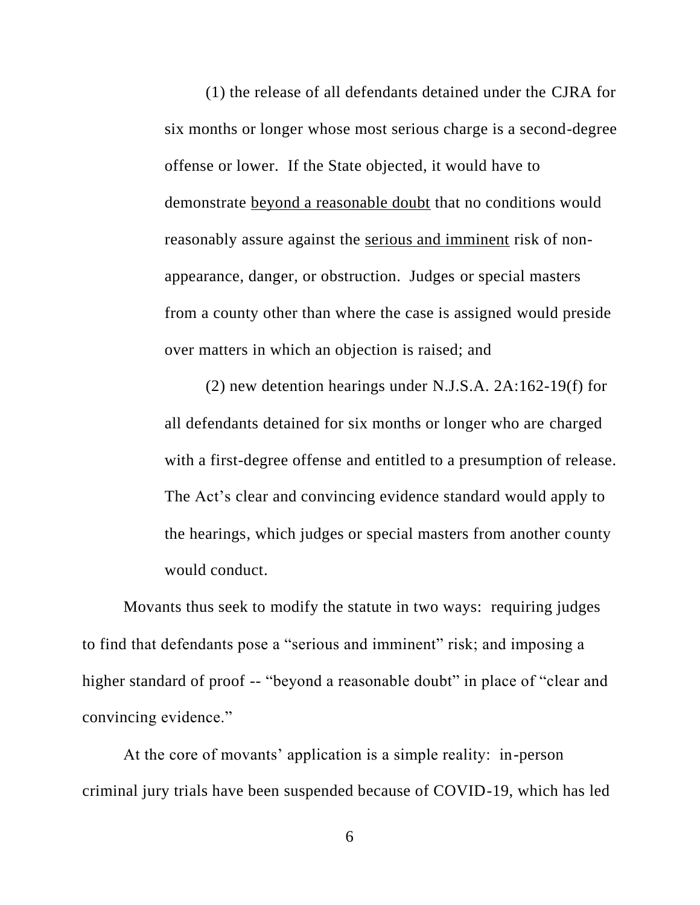(1) the release of all defendants detained under the CJRA for six months or longer whose most serious charge is a second-degree offense or lower. If the State objected, it would have to demonstrate beyond a reasonable doubt that no conditions would reasonably assure against the serious and imminent risk of nonappearance, danger, or obstruction. Judges or special masters from a county other than where the case is assigned would preside over matters in which an objection is raised; and

(2) new detention hearings under N.J.S.A. 2A:162-19(f) for all defendants detained for six months or longer who are charged with a first-degree offense and entitled to a presumption of release. The Act's clear and convincing evidence standard would apply to the hearings, which judges or special masters from another county would conduct.

Movants thus seek to modify the statute in two ways: requiring judges to find that defendants pose a "serious and imminent" risk; and imposing a higher standard of proof -- "beyond a reasonable doubt" in place of "clear and convincing evidence."

At the core of movants' application is a simple reality: in-person criminal jury trials have been suspended because of COVID-19, which has led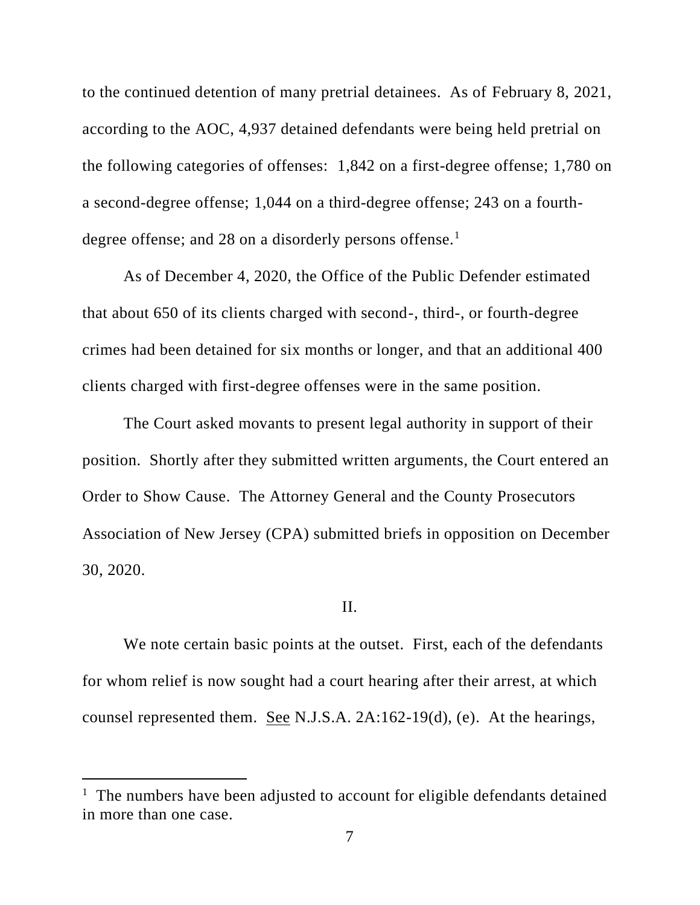to the continued detention of many pretrial detainees. As of February 8, 2021, according to the AOC, 4,937 detained defendants were being held pretrial on the following categories of offenses: 1,842 on a first-degree offense; 1,780 on a second-degree offense; 1,044 on a third-degree offense; 243 on a fourthdegree offense; and 28 on a disorderly persons offense.<sup>1</sup>

As of December 4, 2020, the Office of the Public Defender estimated that about 650 of its clients charged with second-, third-, or fourth-degree crimes had been detained for six months or longer, and that an additional 400 clients charged with first-degree offenses were in the same position.

The Court asked movants to present legal authority in support of their position. Shortly after they submitted written arguments, the Court entered an Order to Show Cause. The Attorney General and the County Prosecutors Association of New Jersey (CPA) submitted briefs in opposition on December 30, 2020.

#### II.

We note certain basic points at the outset. First, each of the defendants for whom relief is now sought had a court hearing after their arrest, at which counsel represented them. See N.J.S.A. 2A:162-19(d), (e). At the hearings,

<sup>&</sup>lt;sup>1</sup> The numbers have been adjusted to account for eligible defendants detained in more than one case.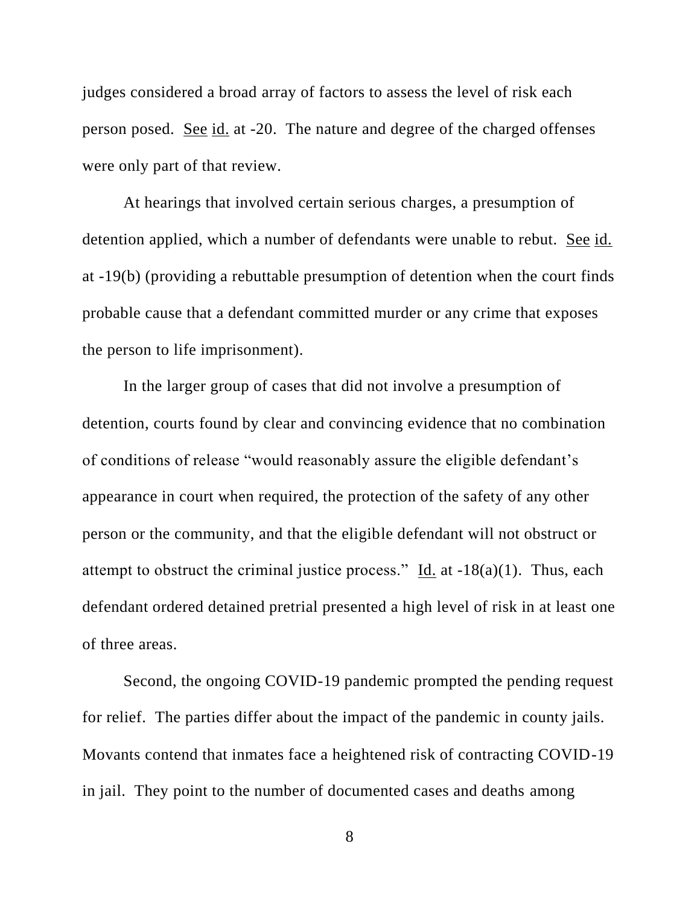judges considered a broad array of factors to assess the level of risk each person posed. See id. at -20. The nature and degree of the charged offenses were only part of that review.

At hearings that involved certain serious charges, a presumption of detention applied, which a number of defendants were unable to rebut. See id. at -19(b) (providing a rebuttable presumption of detention when the court finds probable cause that a defendant committed murder or any crime that exposes the person to life imprisonment).

In the larger group of cases that did not involve a presumption of detention, courts found by clear and convincing evidence that no combination of conditions of release "would reasonably assure the eligible defendant's appearance in court when required, the protection of the safety of any other person or the community, and that the eligible defendant will not obstruct or attempt to obstruct the criminal justice process." Id. at  $-18(a)(1)$ . Thus, each defendant ordered detained pretrial presented a high level of risk in at least one of three areas.

Second, the ongoing COVID-19 pandemic prompted the pending request for relief. The parties differ about the impact of the pandemic in county jails. Movants contend that inmates face a heightened risk of contracting COVID-19 in jail. They point to the number of documented cases and deaths among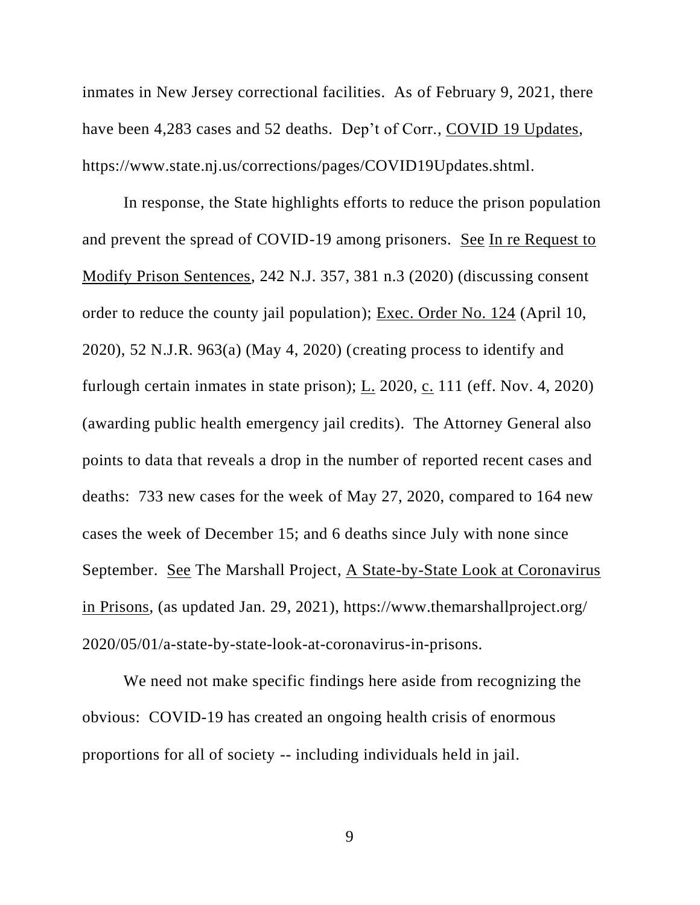inmates in New Jersey correctional facilities. As of February 9, 2021, there have been 4,283 cases and 52 deaths. Dep't of Corr., COVID 19 Updates, https://www.state.nj.us/corrections/pages/COVID19Updates.shtml.

In response, the State highlights efforts to reduce the prison population and prevent the spread of COVID-19 among prisoners. See In re Request to Modify Prison Sentences, 242 N.J. 357, 381 n.3 (2020) (discussing consent order to reduce the county jail population); Exec. Order No. 124 (April 10, 2020), 52 N.J.R. 963(a) (May 4, 2020) (creating process to identify and furlough certain inmates in state prison); L. 2020, c. 111 (eff. Nov. 4, 2020) (awarding public health emergency jail credits). The Attorney General also points to data that reveals a drop in the number of reported recent cases and deaths: 733 new cases for the week of May 27, 2020, compared to 164 new cases the week of December 15; and 6 deaths since July with none since September. See The Marshall Project, A State-by-State Look at Coronavirus in Prisons, (as updated Jan. 29, 2021), https://www.themarshallproject.org/ 2020/05/01/a-state-by-state-look-at-coronavirus-in-prisons.

We need not make specific findings here aside from recognizing the obvious: COVID-19 has created an ongoing health crisis of enormous proportions for all of society -- including individuals held in jail.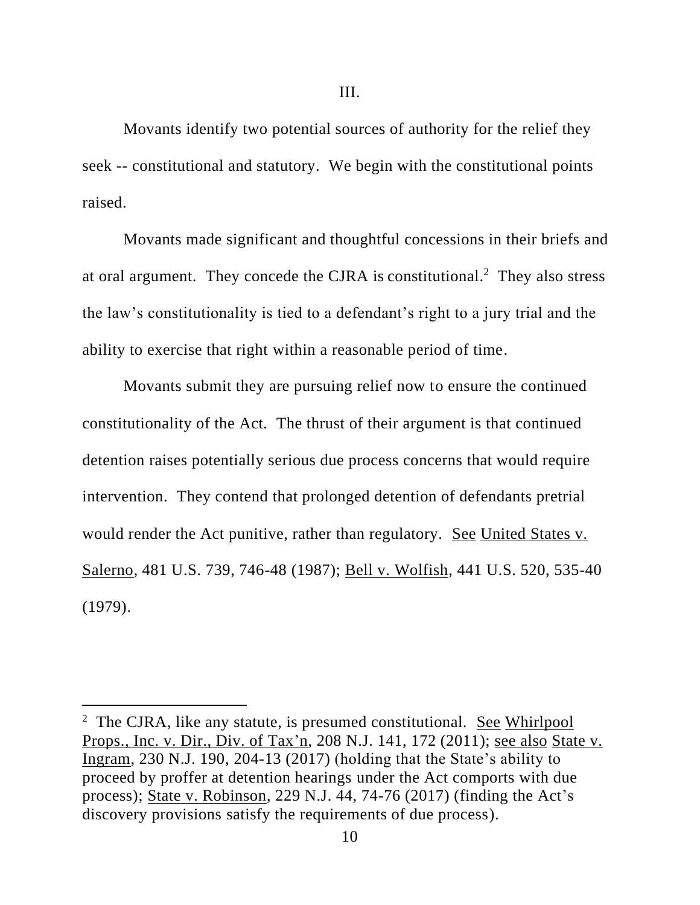Movants identify two potential sources of authority for the relief they seek -- constitutional and statutory. We begin with the constitutional points raised.

Movants made significant and thoughtful concessions in their briefs and at oral argument. They concede the CJRA is constitutional. <sup>2</sup> They also stress the law's constitutionality is tied to a defendant's right to a jury trial and the ability to exercise that right within a reasonable period of time.

Movants submit they are pursuing relief now to ensure the continued constitutionality of the Act. The thrust of their argument is that continued detention raises potentially serious due process concerns that would require intervention. They contend that prolonged detention of defendants pretrial would render the Act punitive, rather than regulatory. See United States v. Salerno, 481 U.S. 739, 746-48 (1987); Bell v. Wolfish, 441 U.S. 520, 535-40 (1979).

<sup>&</sup>lt;sup>2</sup> The CJRA, like any statute, is presumed constitutional. See Whirlpool Props., Inc. v. Dir., Div. of Tax'n, 208 N.J. 141, 172 (2011); see also State v. Ingram, 230 N.J. 190, 204-13 (2017) (holding that the State's ability to proceed by proffer at detention hearings under the Act comports with due process); State v. Robinson, 229 N.J. 44, 74-76 (2017) (finding the Act's discovery provisions satisfy the requirements of due process).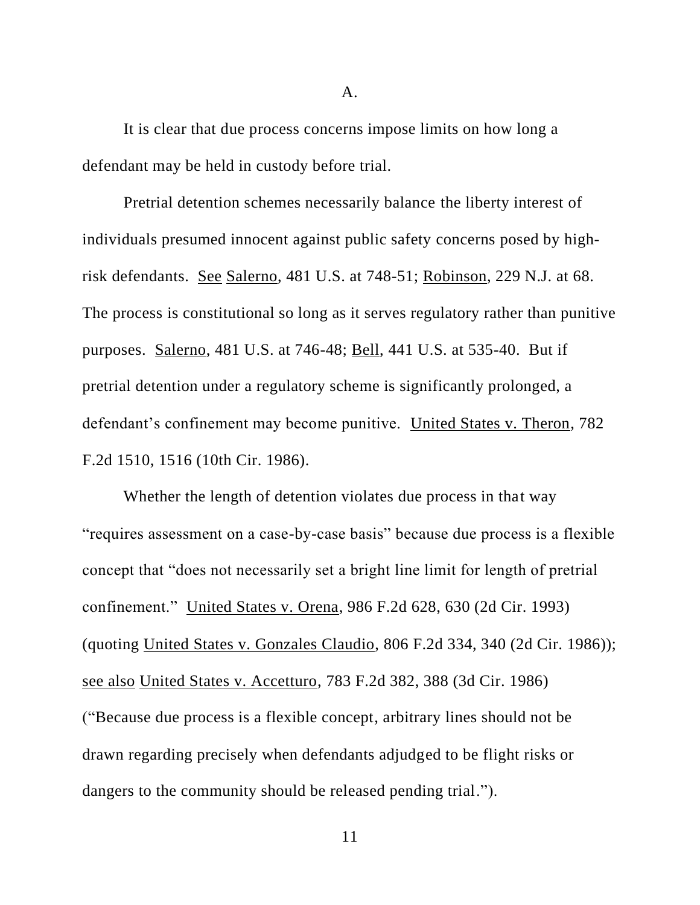It is clear that due process concerns impose limits on how long a defendant may be held in custody before trial.

Pretrial detention schemes necessarily balance the liberty interest of individuals presumed innocent against public safety concerns posed by highrisk defendants. See Salerno, 481 U.S. at 748-51; Robinson, 229 N.J. at 68. The process is constitutional so long as it serves regulatory rather than punitive purposes. Salerno, 481 U.S. at 746-48; Bell, 441 U.S. at 535-40. But if pretrial detention under a regulatory scheme is significantly prolonged, a defendant's confinement may become punitive. United States v. Theron, 782 F.2d 1510, 1516 (10th Cir. 1986).

Whether the length of detention violates due process in that way "requires assessment on a case-by-case basis" because due process is a flexible concept that "does not necessarily set a bright line limit for length of pretrial confinement." United States v. Orena, 986 F.2d 628, 630 (2d Cir. 1993) (quoting United States v. Gonzales Claudio, 806 F.2d 334, 340 (2d Cir. 1986)); see also United States v. Accetturo, 783 F.2d 382, 388 (3d Cir. 1986) ("Because due process is a flexible concept, arbitrary lines should not be drawn regarding precisely when defendants adjudged to be flight risks or dangers to the community should be released pending trial.").

A.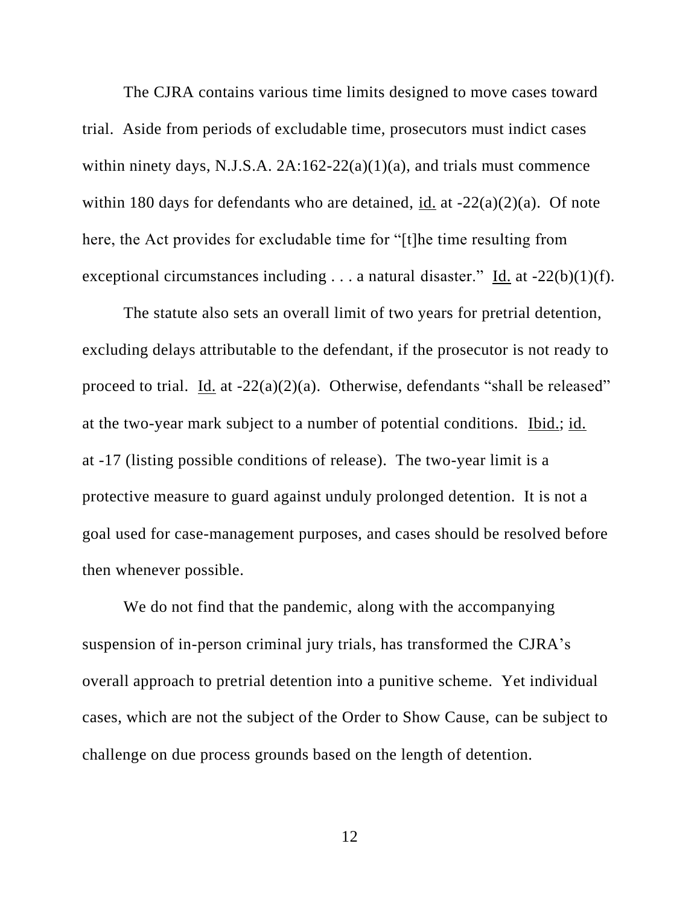The CJRA contains various time limits designed to move cases toward trial. Aside from periods of excludable time, prosecutors must indict cases within ninety days, N.J.S.A.  $2A:162-22(a)(1)(a)$ , and trials must commence within 180 days for defendants who are detained, id. at  $-22(a)(2)(a)$ . Of note here, the Act provides for excludable time for "[t]he time resulting from exceptional circumstances including  $\ldots$  a natural disaster." Id. at -22(b)(1)(f).

The statute also sets an overall limit of two years for pretrial detention, excluding delays attributable to the defendant, if the prosecutor is not ready to proceed to trial. Id. at  $-22(a)(2)(a)$ . Otherwise, defendants "shall be released" at the two-year mark subject to a number of potential conditions. Ibid.; id. at -17 (listing possible conditions of release). The two-year limit is a protective measure to guard against unduly prolonged detention. It is not a goal used for case-management purposes, and cases should be resolved before then whenever possible.

We do not find that the pandemic, along with the accompanying suspension of in-person criminal jury trials, has transformed the CJRA's overall approach to pretrial detention into a punitive scheme. Yet individual cases, which are not the subject of the Order to Show Cause, can be subject to challenge on due process grounds based on the length of detention.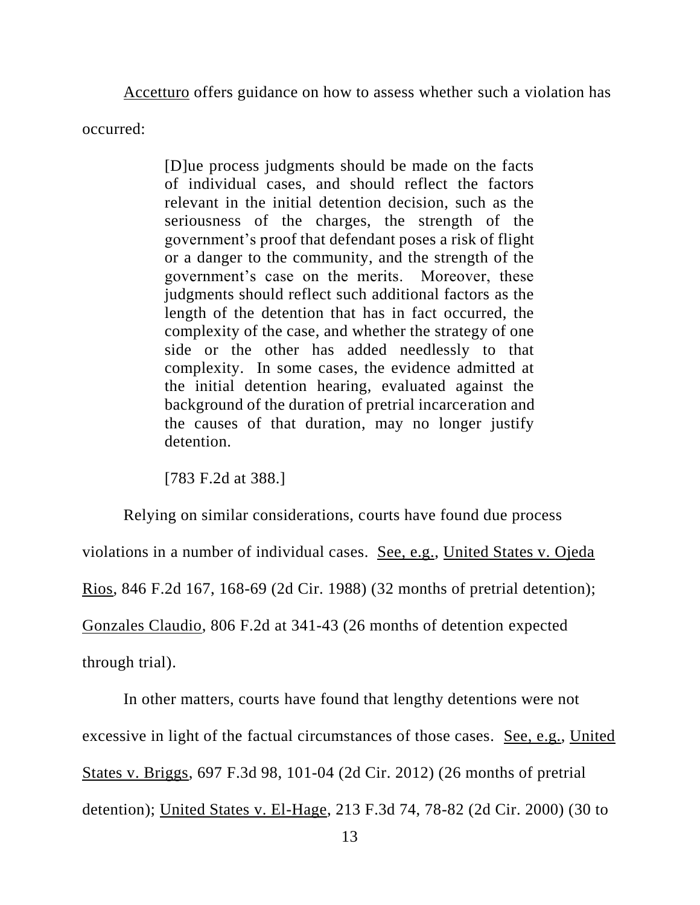Accetturo offers guidance on how to assess whether such a violation has

occurred:

[D]ue process judgments should be made on the facts of individual cases, and should reflect the factors relevant in the initial detention decision, such as the seriousness of the charges, the strength of the government's proof that defendant poses a risk of flight or a danger to the community, and the strength of the government's case on the merits. Moreover, these judgments should reflect such additional factors as the length of the detention that has in fact occurred, the complexity of the case, and whether the strategy of one side or the other has added needlessly to that complexity. In some cases, the evidence admitted at the initial detention hearing, evaluated against the background of the duration of pretrial incarceration and the causes of that duration, may no longer justify detention.

[783 F.2d at 388.]

Relying on similar considerations, courts have found due process

violations in a number of individual cases. See, e.g., United States v. Ojeda

Rios, 846 F.2d 167, 168-69 (2d Cir. 1988) (32 months of pretrial detention);

Gonzales Claudio, 806 F.2d at 341-43 (26 months of detention expected

through trial).

In other matters, courts have found that lengthy detentions were not

excessive in light of the factual circumstances of those cases. See, e.g., United

States v. Briggs, 697 F.3d 98, 101-04 (2d Cir. 2012) (26 months of pretrial

detention); United States v. El-Hage, 213 F.3d 74, 78-82 (2d Cir. 2000) (30 to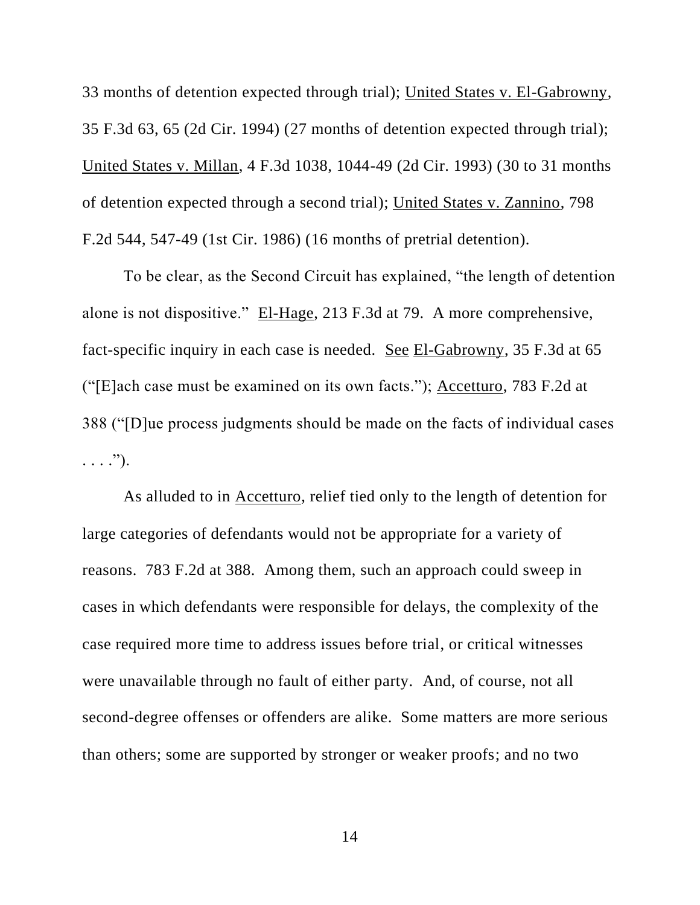33 months of detention expected through trial); United States v. El-Gabrowny, 35 F.3d 63, 65 (2d Cir. 1994) (27 months of detention expected through trial); United States v. Millan, 4 F.3d 1038, 1044-49 (2d Cir. 1993) (30 to 31 months of detention expected through a second trial); United States v. Zannino, 798 F.2d 544, 547-49 (1st Cir. 1986) (16 months of pretrial detention).

To be clear, as the Second Circuit has explained, "the length of detention alone is not dispositive." El-Hage, 213 F.3d at 79. A more comprehensive, fact-specific inquiry in each case is needed. See El-Gabrowny, 35 F.3d at 65 ("[E]ach case must be examined on its own facts."); Accetturo, 783 F.2d at 388 ("[D]ue process judgments should be made on the facts of individual cases  $\ldots$ .").

As alluded to in Accetturo, relief tied only to the length of detention for large categories of defendants would not be appropriate for a variety of reasons. 783 F.2d at 388. Among them, such an approach could sweep in cases in which defendants were responsible for delays, the complexity of the case required more time to address issues before trial, or critical witnesses were unavailable through no fault of either party. And, of course, not all second-degree offenses or offenders are alike. Some matters are more serious than others; some are supported by stronger or weaker proofs; and no two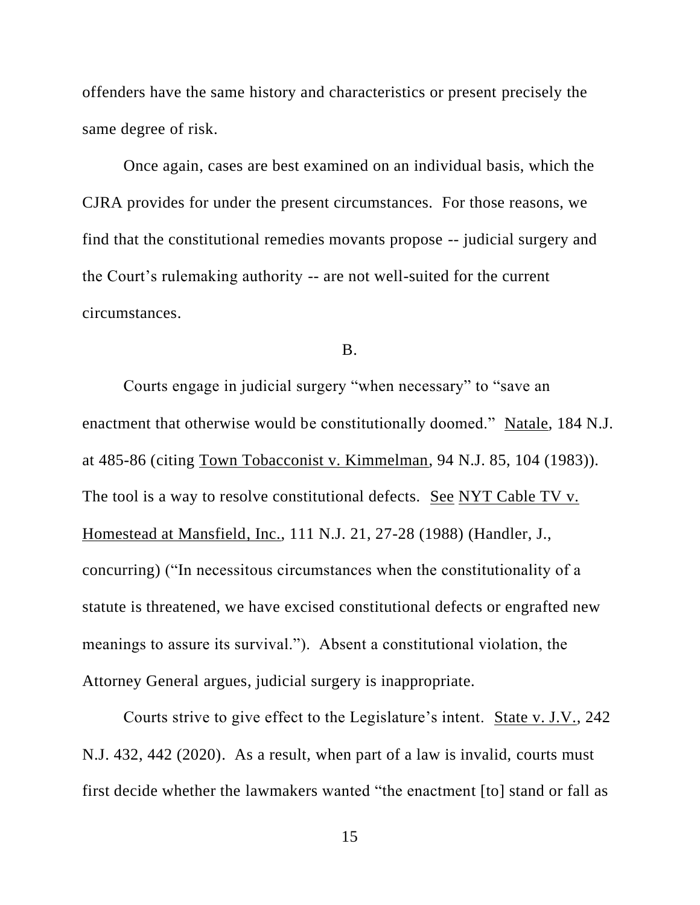offenders have the same history and characteristics or present precisely the same degree of risk.

Once again, cases are best examined on an individual basis, which the CJRA provides for under the present circumstances. For those reasons, we find that the constitutional remedies movants propose -- judicial surgery and the Court's rulemaking authority -- are not well-suited for the current circumstances.

## B.

Courts engage in judicial surgery "when necessary" to "save an enactment that otherwise would be constitutionally doomed." Natale, 184 N.J. at 485-86 (citing Town Tobacconist v. Kimmelman, 94 N.J. 85, 104 (1983)). The tool is a way to resolve constitutional defects. See NYT Cable TV v. Homestead at Mansfield, Inc., 111 N.J. 21, 27-28 (1988) (Handler, J., concurring) ("In necessitous circumstances when the constitutionality of a statute is threatened, we have excised constitutional defects or engrafted new meanings to assure its survival."). Absent a constitutional violation, the Attorney General argues, judicial surgery is inappropriate.

Courts strive to give effect to the Legislature's intent. State v. J.V., 242 N.J. 432, 442 (2020). As a result, when part of a law is invalid, courts must first decide whether the lawmakers wanted "the enactment [to] stand or fall as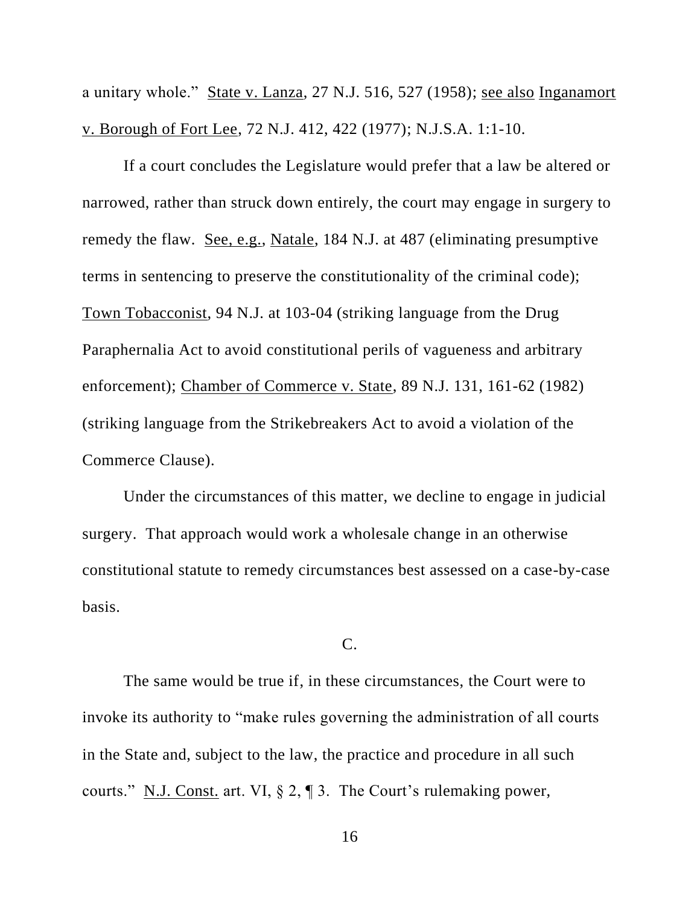a unitary whole." State v. Lanza, 27 N.J. 516, 527 (1958); see also Inganamort v. Borough of Fort Lee, 72 N.J. 412, 422 (1977); N.J.S.A. 1:1-10.

If a court concludes the Legislature would prefer that a law be altered or narrowed, rather than struck down entirely, the court may engage in surgery to remedy the flaw. See, e.g., Natale, 184 N.J. at 487 (eliminating presumptive terms in sentencing to preserve the constitutionality of the criminal code); Town Tobacconist, 94 N.J. at 103-04 (striking language from the Drug Paraphernalia Act to avoid constitutional perils of vagueness and arbitrary enforcement); Chamber of Commerce v. State, 89 N.J. 131, 161-62 (1982) (striking language from the Strikebreakers Act to avoid a violation of the Commerce Clause).

Under the circumstances of this matter, we decline to engage in judicial surgery. That approach would work a wholesale change in an otherwise constitutional statute to remedy circumstances best assessed on a case-by-case basis.

## C.

The same would be true if, in these circumstances, the Court were to invoke its authority to "make rules governing the administration of all courts in the State and, subject to the law, the practice and procedure in all such courts." N.J. Const. art. VI, § 2, ¶ 3. The Court's rulemaking power,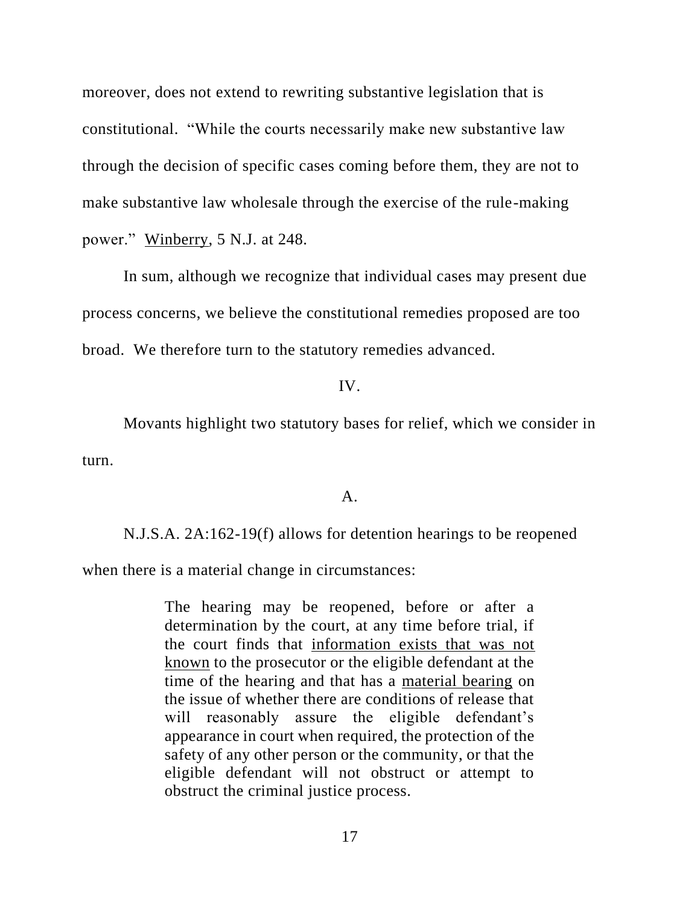moreover, does not extend to rewriting substantive legislation that is constitutional. "While the courts necessarily make new substantive law through the decision of specific cases coming before them, they are not to make substantive law wholesale through the exercise of the rule-making power." Winberry, 5 N.J. at 248.

In sum, although we recognize that individual cases may present due process concerns, we believe the constitutional remedies proposed are too broad. We therefore turn to the statutory remedies advanced.

## IV.

Movants highlight two statutory bases for relief, which we consider in turn.

## A.

N.J.S.A. 2A:162-19(f) allows for detention hearings to be reopened

when there is a material change in circumstances:

The hearing may be reopened, before or after a determination by the court, at any time before trial, if the court finds that information exists that was not known to the prosecutor or the eligible defendant at the time of the hearing and that has a material bearing on the issue of whether there are conditions of release that will reasonably assure the eligible defendant's appearance in court when required, the protection of the safety of any other person or the community, or that the eligible defendant will not obstruct or attempt to obstruct the criminal justice process.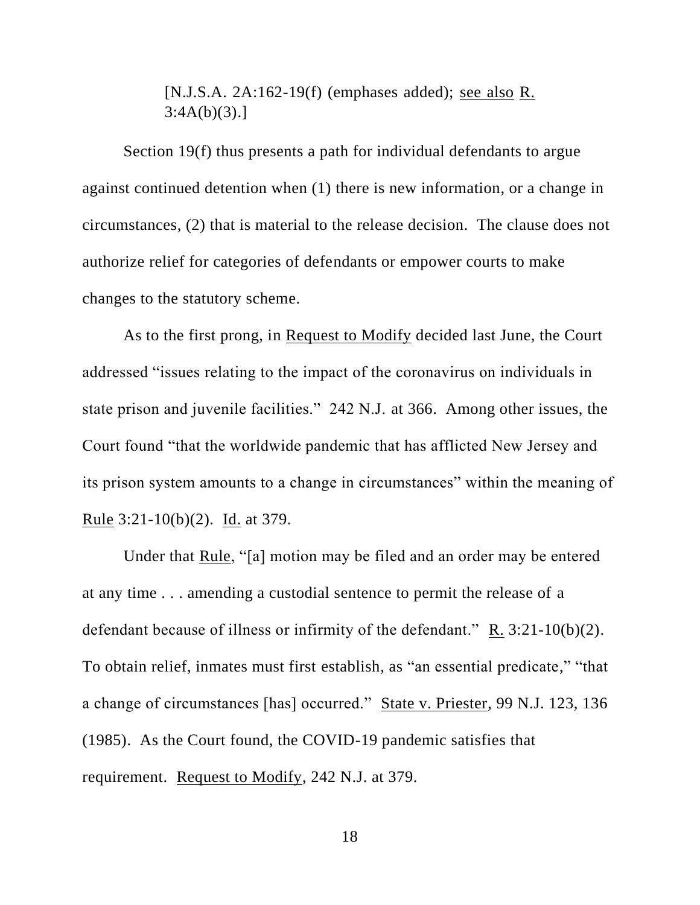[N.J.S.A. 2A:162-19(f) (emphases added); see also R.  $3:4A(b)(3).$ ]

Section 19(f) thus presents a path for individual defendants to argue against continued detention when (1) there is new information, or a change in circumstances, (2) that is material to the release decision. The clause does not authorize relief for categories of defendants or empower courts to make changes to the statutory scheme.

As to the first prong, in Request to Modify decided last June, the Court addressed "issues relating to the impact of the coronavirus on individuals in state prison and juvenile facilities." 242 N.J. at 366. Among other issues, the Court found "that the worldwide pandemic that has afflicted New Jersey and its prison system amounts to a change in circumstances" within the meaning of Rule 3:21-10(b)(2). Id. at 379.

Under that Rule, "[a] motion may be filed and an order may be entered at any time . . . amending a custodial sentence to permit the release of a defendant because of illness or infirmity of the defendant." R. 3:21-10(b)(2). To obtain relief, inmates must first establish, as "an essential predicate," "that a change of circumstances [has] occurred." State v. Priester, 99 N.J. 123, 136 (1985). As the Court found, the COVID-19 pandemic satisfies that requirement. Request to Modify, 242 N.J. at 379.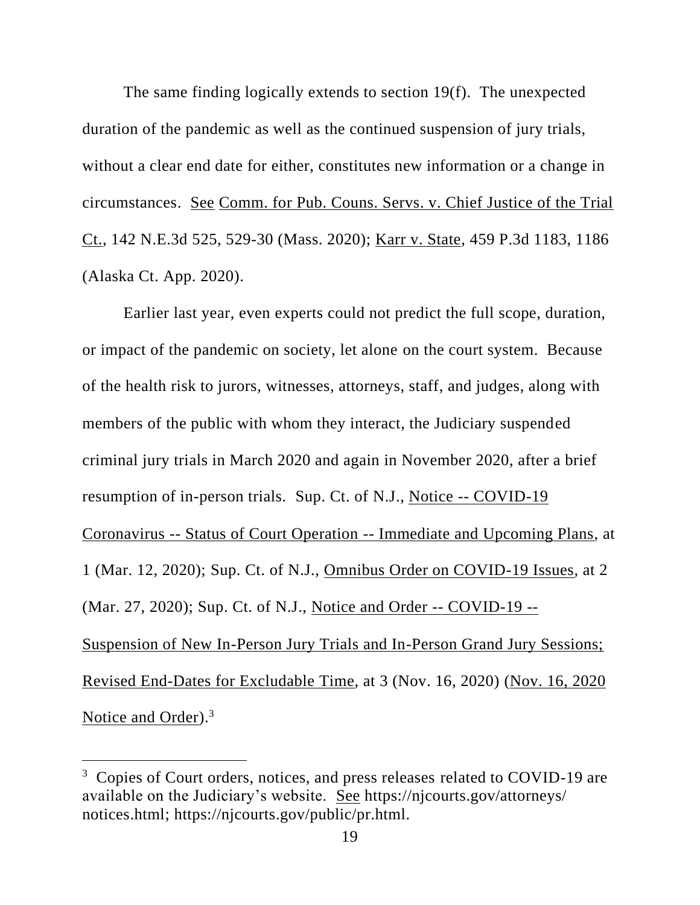The same finding logically extends to section 19(f). The unexpected duration of the pandemic as well as the continued suspension of jury trials, without a clear end date for either, constitutes new information or a change in circumstances. See Comm. for Pub. Couns. Servs. v. Chief Justice of the Trial Ct., 142 N.E.3d 525, 529-30 (Mass. 2020); Karr v. State, 459 P.3d 1183, 1186 (Alaska Ct. App. 2020).

Earlier last year, even experts could not predict the full scope, duration, or impact of the pandemic on society, let alone on the court system. Because of the health risk to jurors, witnesses, attorneys, staff, and judges, along with members of the public with whom they interact, the Judiciary suspended criminal jury trials in March 2020 and again in November 2020, after a brief resumption of in-person trials. Sup. Ct. of N.J., Notice -- COVID-19 Coronavirus -- Status of Court Operation -- Immediate and Upcoming Plans, at 1 (Mar. 12, 2020); Sup. Ct. of N.J., Omnibus Order on COVID-19 Issues, at 2 (Mar. 27, 2020); Sup. Ct. of N.J., Notice and Order -- COVID-19 -- Suspension of New In-Person Jury Trials and In-Person Grand Jury Sessions; Revised End-Dates for Excludable Time, at 3 (Nov. 16, 2020) (Nov. 16, 2020 Notice and Order).<sup>3</sup>

<sup>&</sup>lt;sup>3</sup> Copies of Court orders, notices, and press releases related to COVID-19 are available on the Judiciary's website. See https://njcourts.gov/attorneys/ notices.html; https://njcourts.gov/public/pr.html.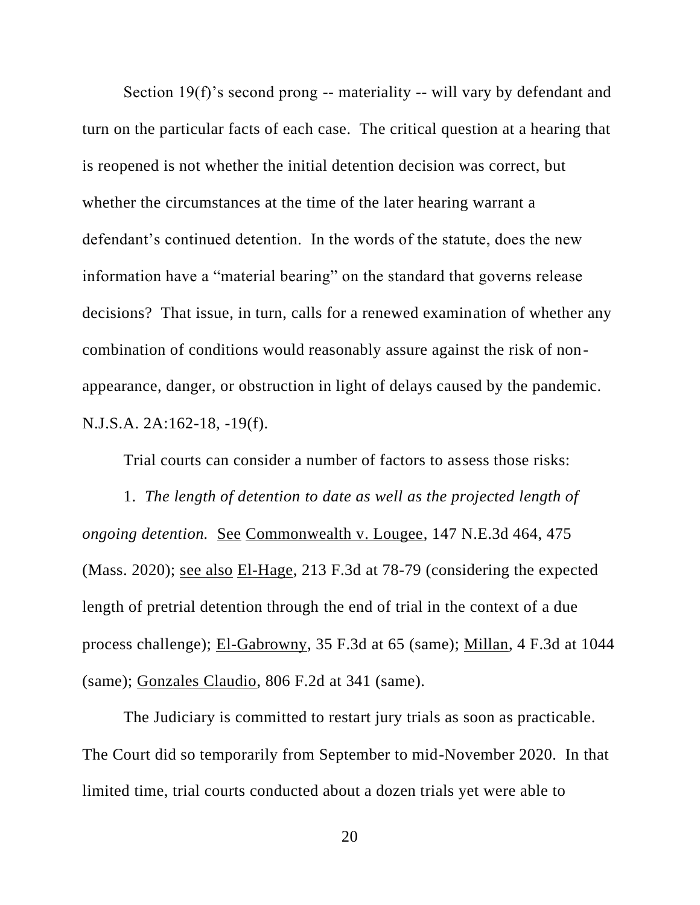Section 19(f)'s second prong -- materiality -- will vary by defendant and turn on the particular facts of each case. The critical question at a hearing that is reopened is not whether the initial detention decision was correct, but whether the circumstances at the time of the later hearing warrant a defendant's continued detention. In the words of the statute, does the new information have a "material bearing" on the standard that governs release decisions? That issue, in turn, calls for a renewed examination of whether any combination of conditions would reasonably assure against the risk of nonappearance, danger, or obstruction in light of delays caused by the pandemic. N.J.S.A. 2A:162-18, -19(f).

Trial courts can consider a number of factors to assess those risks:

1. *The length of detention to date as well as the projected length of ongoing detention.* See Commonwealth v. Lougee, 147 N.E.3d 464, 475 (Mass. 2020); see also El-Hage, 213 F.3d at 78-79 (considering the expected length of pretrial detention through the end of trial in the context of a due process challenge); El-Gabrowny, 35 F.3d at 65 (same); Millan, 4 F.3d at 1044 (same); Gonzales Claudio, 806 F.2d at 341 (same).

The Judiciary is committed to restart jury trials as soon as practicable. The Court did so temporarily from September to mid-November 2020. In that limited time, trial courts conducted about a dozen trials yet were able to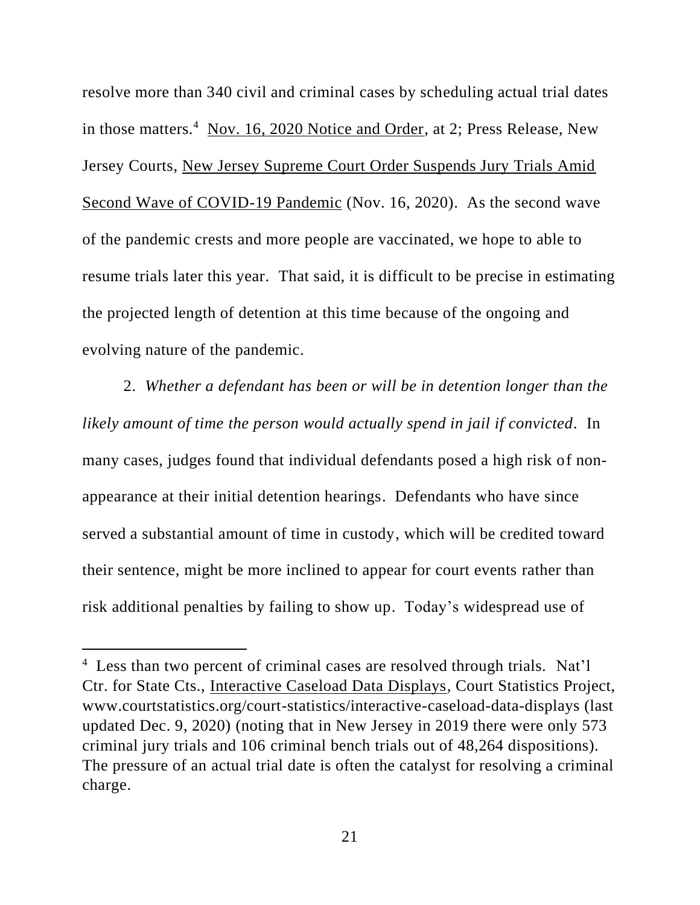resolve more than 340 civil and criminal cases by scheduling actual trial dates in those matters.<sup>4</sup> Nov. 16, 2020 Notice and Order, at 2; Press Release, New Jersey Courts, New Jersey Supreme Court Order Suspends Jury Trials Amid Second Wave of COVID-19 Pandemic (Nov. 16, 2020). As the second wave of the pandemic crests and more people are vaccinated, we hope to able to resume trials later this year. That said, it is difficult to be precise in estimating the projected length of detention at this time because of the ongoing and evolving nature of the pandemic.

2. *Whether a defendant has been or will be in detention longer than the likely amount of time the person would actually spend in jail if convicted.* In many cases, judges found that individual defendants posed a high risk of nonappearance at their initial detention hearings. Defendants who have since served a substantial amount of time in custody, which will be credited toward their sentence, might be more inclined to appear for court events rather than risk additional penalties by failing to show up. Today's widespread use of

<sup>&</sup>lt;sup>4</sup> Less than two percent of criminal cases are resolved through trials. Nat'l Ctr. for State Cts., Interactive Caseload Data Displays, Court Statistics Project, www.courtstatistics.org/court-statistics/interactive-caseload-data-displays (last updated Dec. 9, 2020) (noting that in New Jersey in 2019 there were only 573 criminal jury trials and 106 criminal bench trials out of 48,264 dispositions). The pressure of an actual trial date is often the catalyst for resolving a criminal charge.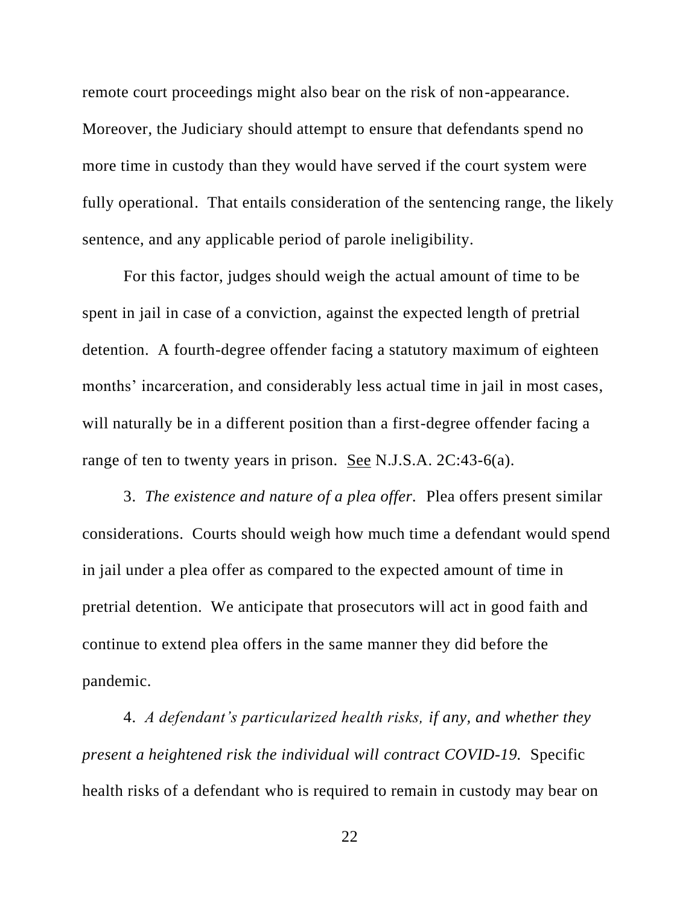remote court proceedings might also bear on the risk of non-appearance. Moreover, the Judiciary should attempt to ensure that defendants spend no more time in custody than they would have served if the court system were fully operational. That entails consideration of the sentencing range, the likely sentence, and any applicable period of parole ineligibility.

For this factor, judges should weigh the actual amount of time to be spent in jail in case of a conviction, against the expected length of pretrial detention. A fourth-degree offender facing a statutory maximum of eighteen months' incarceration, and considerably less actual time in jail in most cases, will naturally be in a different position than a first-degree offender facing a range of ten to twenty years in prison. See N.J.S.A. 2C:43-6(a).

3. *The existence and nature of a plea offer.* Plea offers present similar considerations. Courts should weigh how much time a defendant would spend in jail under a plea offer as compared to the expected amount of time in pretrial detention. We anticipate that prosecutors will act in good faith and continue to extend plea offers in the same manner they did before the pandemic.

4. *A defendant's particularized health risks, if any, and whether they present a heightened risk the individual will contract COVID-19.* Specific health risks of a defendant who is required to remain in custody may bear on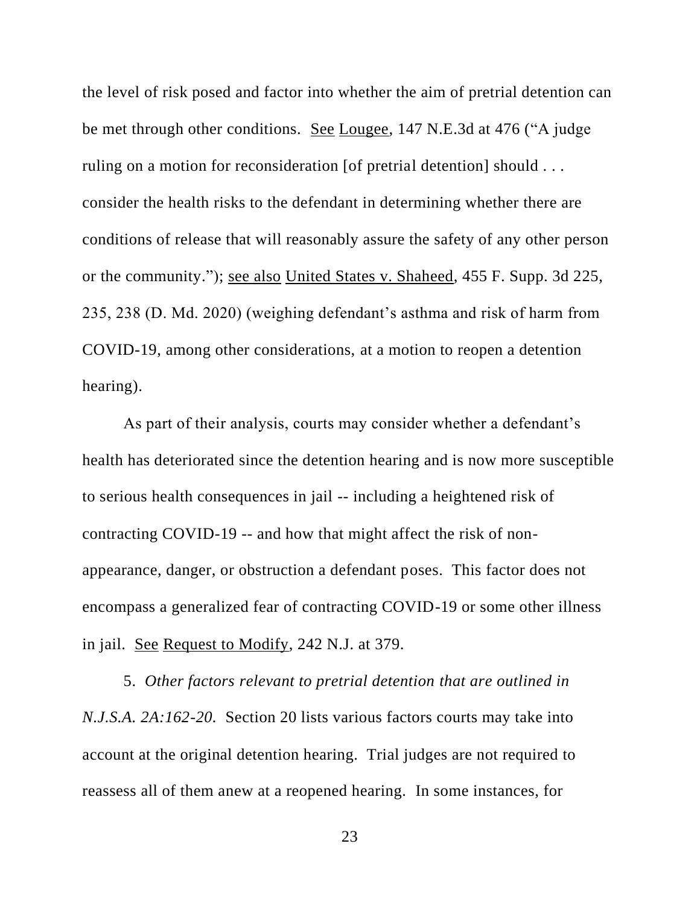the level of risk posed and factor into whether the aim of pretrial detention can be met through other conditions. See Lougee, 147 N.E.3d at 476 ("A judge ruling on a motion for reconsideration [of pretrial detention] should ... consider the health risks to the defendant in determining whether there are conditions of release that will reasonably assure the safety of any other person or the community."); see also United States v. Shaheed, 455 F. Supp. 3d 225, 235, 238 (D. Md. 2020) (weighing defendant's asthma and risk of harm from COVID-19, among other considerations, at a motion to reopen a detention hearing).

As part of their analysis, courts may consider whether a defendant's health has deteriorated since the detention hearing and is now more susceptible to serious health consequences in jail -- including a heightened risk of contracting COVID-19 -- and how that might affect the risk of nonappearance, danger, or obstruction a defendant poses. This factor does not encompass a generalized fear of contracting COVID-19 or some other illness in jail. See Request to Modify, 242 N.J. at 379.

5. *Other factors relevant to pretrial detention that are outlined in N.J.S.A. 2A:162-20.* Section 20 lists various factors courts may take into account at the original detention hearing. Trial judges are not required to reassess all of them anew at a reopened hearing. In some instances, for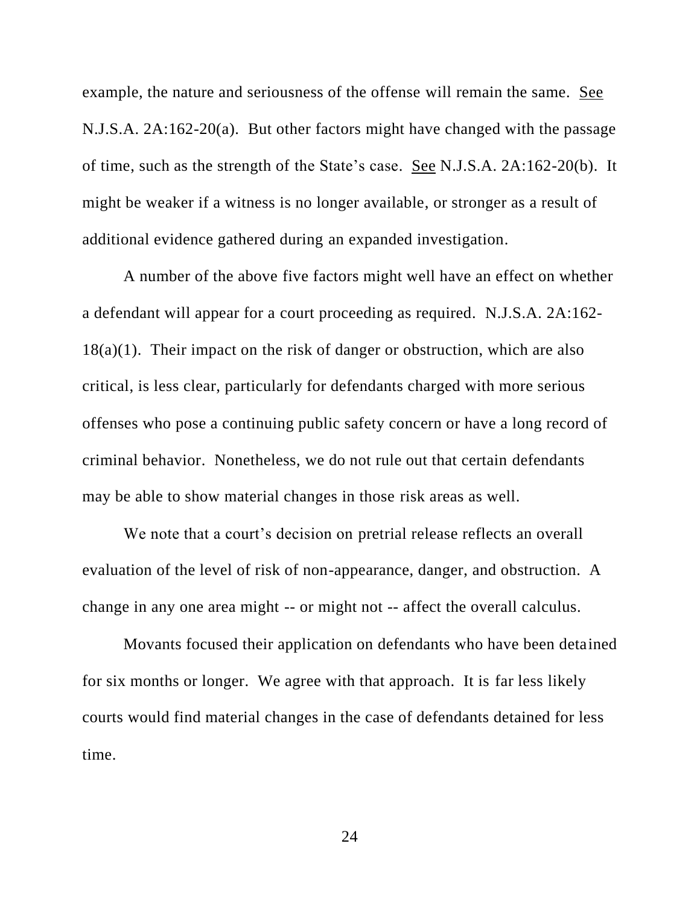example, the nature and seriousness of the offense will remain the same. See N.J.S.A. 2A:162-20(a). But other factors might have changed with the passage of time, such as the strength of the State's case. See N.J.S.A. 2A:162-20(b). It might be weaker if a witness is no longer available, or stronger as a result of additional evidence gathered during an expanded investigation.

A number of the above five factors might well have an effect on whether a defendant will appear for a court proceeding as required. N.J.S.A. 2A:162-  $18(a)(1)$ . Their impact on the risk of danger or obstruction, which are also critical, is less clear, particularly for defendants charged with more serious offenses who pose a continuing public safety concern or have a long record of criminal behavior. Nonetheless, we do not rule out that certain defendants may be able to show material changes in those risk areas as well.

We note that a court's decision on pretrial release reflects an overall evaluation of the level of risk of non-appearance, danger, and obstruction. A change in any one area might -- or might not -- affect the overall calculus.

Movants focused their application on defendants who have been detained for six months or longer. We agree with that approach. It is far less likely courts would find material changes in the case of defendants detained for less time.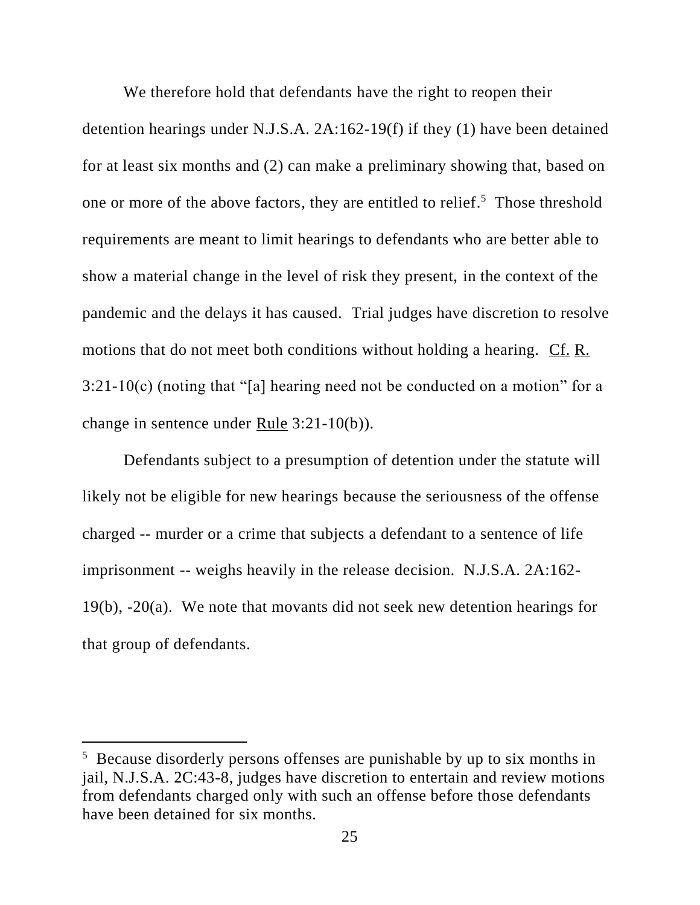We therefore hold that defendants have the right to reopen their detention hearings under N.J.S.A. 2A:162-19(f) if they (1) have been detained for at least six months and (2) can make a preliminary showing that, based on one or more of the above factors, they are entitled to relief.<sup>5</sup> Those threshold requirements are meant to limit hearings to defendants who are better able to show a material change in the level of risk they present, in the context of the pandemic and the delays it has caused. Trial judges have discretion to resolve motions that do not meet both conditions without holding a hearing. Cf. R.  $3:21-10(c)$  (noting that "[a] hearing need not be conducted on a motion" for a change in sentence under <u>Rule</u> 3:21-10(b)).

Defendants subject to a presumption of detention under the statute will likely not be eligible for new hearings because the seriousness of the offense charged -- murder or a crime that subjects a defendant to a sentence of life imprisonment -- weighs heavily in the release decision. N.J.S.A. 2A:162- 19(b), -20(a). We note that movants did not seek new detention hearings for that group of defendants.

<sup>&</sup>lt;sup>5</sup> Because disorderly persons offenses are punishable by up to six months in jail, N.J.S.A. 2C:43-8, judges have discretion to entertain and review motions from defendants charged only with such an offense before those defendants have been detained for six months.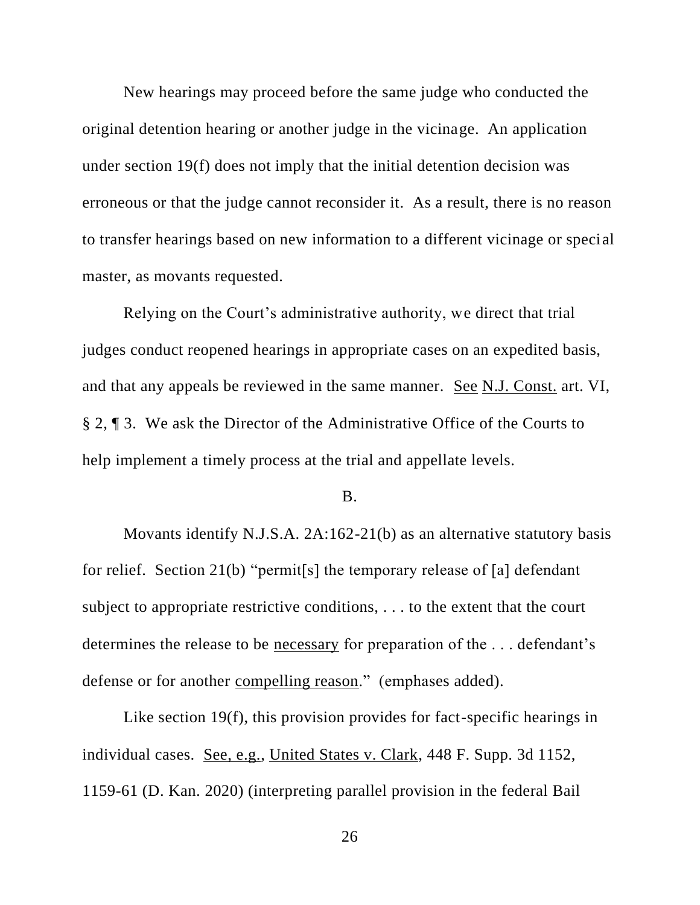New hearings may proceed before the same judge who conducted the original detention hearing or another judge in the vicinage. An application under section 19(f) does not imply that the initial detention decision was erroneous or that the judge cannot reconsider it. As a result, there is no reason to transfer hearings based on new information to a different vicinage or speci al master, as movants requested.

Relying on the Court's administrative authority, we direct that trial judges conduct reopened hearings in appropriate cases on an expedited basis, and that any appeals be reviewed in the same manner. See N.J. Const. art. VI, § 2, ¶ 3. We ask the Director of the Administrative Office of the Courts to help implement a timely process at the trial and appellate levels.

## B.

Movants identify N.J.S.A. 2A:162-21(b) as an alternative statutory basis for relief. Section 21(b) "permit[s] the temporary release of [a] defendant subject to appropriate restrictive conditions, . . . to the extent that the court determines the release to be necessary for preparation of the . . . defendant's defense or for another compelling reason." (emphases added).

Like section 19(f), this provision provides for fact-specific hearings in individual cases. See, e.g., United States v. Clark, 448 F. Supp. 3d 1152, 1159-61 (D. Kan. 2020) (interpreting parallel provision in the federal Bail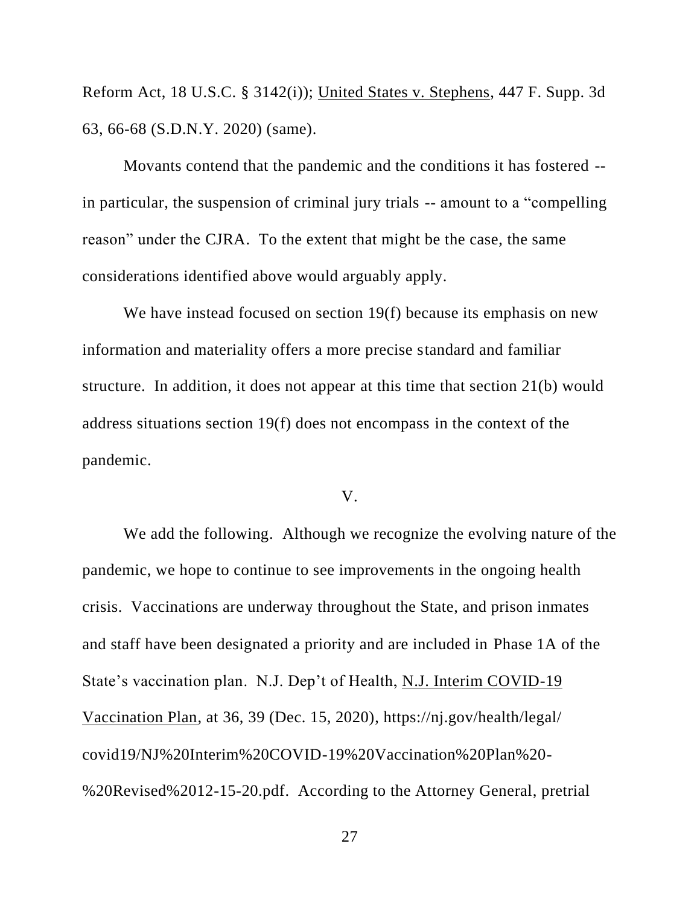Reform Act, 18 U.S.C. § 3142(i)); United States v. Stephens, 447 F. Supp. 3d 63, 66-68 (S.D.N.Y. 2020) (same).

Movants contend that the pandemic and the conditions it has fostered - in particular, the suspension of criminal jury trials -- amount to a "compelling reason" under the CJRA. To the extent that might be the case, the same considerations identified above would arguably apply.

We have instead focused on section 19(f) because its emphasis on new information and materiality offers a more precise standard and familiar structure. In addition, it does not appear at this time that section 21(b) would address situations section 19(f) does not encompass in the context of the pandemic.

#### V.

We add the following. Although we recognize the evolving nature of the pandemic, we hope to continue to see improvements in the ongoing health crisis. Vaccinations are underway throughout the State, and prison inmates and staff have been designated a priority and are included in Phase 1A of the State's vaccination plan. N.J. Dep't of Health, N.J. Interim COVID-19 Vaccination Plan, at 36, 39 (Dec. 15, 2020), https://nj.gov/health/legal/ covid19/NJ%20Interim%20COVID-19%20Vaccination%20Plan%20- %20Revised%2012-15-20.pdf. According to the Attorney General, pretrial